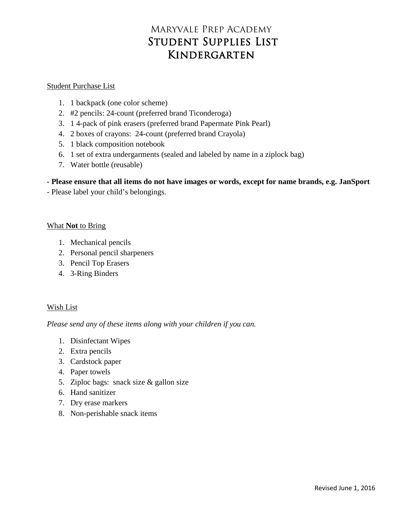# Maryvale Prep Academy Student Supplies List Kindergarten

### Student Purchase List

- 1. 1 backpack (one color scheme)
- 2. #2 pencils: 24-count (preferred brand Ticonderoga)
- 3. 1 4-pack of pink erasers (preferred brand Papermate Pink Pearl)
- 4. 2 boxes of crayons: 24-count (preferred brand Crayola)
- 5. 1 black composition notebook
- 6. 1 set of extra undergarments (sealed and labeled by name in a ziplock bag)
- 7. Water bottle (reusable)

## **- Please ensure that all items do not have images or words, except for name brands, e.g. JanSport**

- Please label your child's belongings.

### What **Not** to Bring

- 1. Mechanical pencils
- 2. Personal pencil sharpeners
- 3. Pencil Top Erasers
- 4. 3-Ring Binders

## Wish List

- 1. Disinfectant Wipes
- 2. Extra pencils
- 3. Cardstock paper
- 4. Paper towels
- 5. Ziploc bags: snack size & gallon size
- 6. Hand sanitizer
- 7. Dry erase markers
- 8. Non-perishable snack items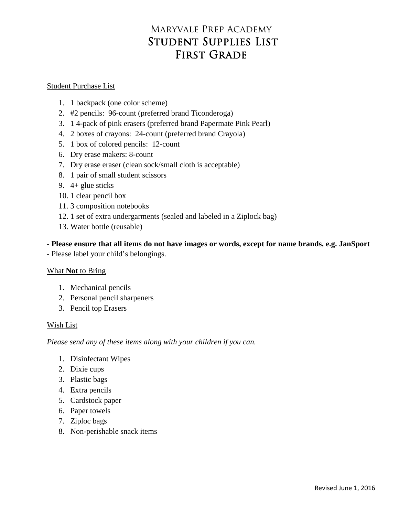# Maryvale Prep Academy Student Supplies List FIRST GRADE

### Student Purchase List

- 1. 1 backpack (one color scheme)
- 2. #2 pencils: 96-count (preferred brand Ticonderoga)
- 3. 1 4-pack of pink erasers (preferred brand Papermate Pink Pearl)
- 4. 2 boxes of crayons: 24-count (preferred brand Crayola)
- 5. 1 box of colored pencils: 12-count
- 6. Dry erase makers: 8-count
- 7. Dry erase eraser (clean sock/small cloth is acceptable)
- 8. 1 pair of small student scissors
- 9. 4+ glue sticks
- 10. 1 clear pencil box
- 11. 3 composition notebooks
- 12. 1 set of extra undergarments (sealed and labeled in a Ziplock bag)
- 13. Water bottle (reusable)

**- Please ensure that all items do not have images or words, except for name brands, e.g. JanSport**

- Please label your child's belongings.

#### What **Not** to Bring

- 1. Mechanical pencils
- 2. Personal pencil sharpeners
- 3. Pencil top Erasers

#### Wish List

- 1. Disinfectant Wipes
- 2. Dixie cups
- 3. Plastic bags
- 4. Extra pencils
- 5. Cardstock paper
- 6. Paper towels
- 7. Ziploc bags
- 8. Non-perishable snack items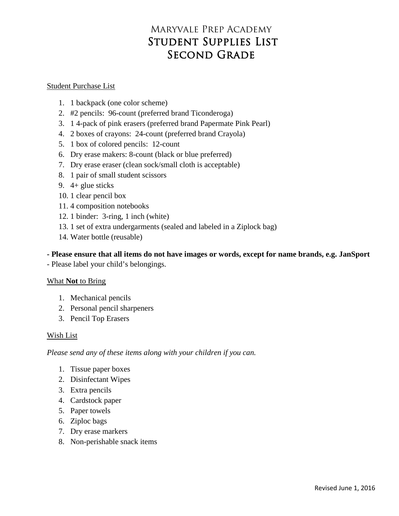# Maryvale Prep Academy Student Supplies List SECOND GRADE

#### Student Purchase List

- 1. 1 backpack (one color scheme)
- 2. #2 pencils: 96-count (preferred brand Ticonderoga)
- 3. 1 4-pack of pink erasers (preferred brand Papermate Pink Pearl)
- 4. 2 boxes of crayons: 24-count (preferred brand Crayola)
- 5. 1 box of colored pencils: 12-count
- 6. Dry erase makers: 8-count (black or blue preferred)
- 7. Dry erase eraser (clean sock/small cloth is acceptable)
- 8. 1 pair of small student scissors
- 9. 4+ glue sticks
- 10. 1 clear pencil box
- 11. 4 composition notebooks
- 12. 1 binder: 3-ring, 1 inch (white)
- 13. 1 set of extra undergarments (sealed and labeled in a Ziplock bag)
- 14. Water bottle (reusable)

## **- Please ensure that all items do not have images or words, except for name brands, e.g. JanSport**

- Please label your child's belongings.

## What **Not** to Bring

- 1. Mechanical pencils
- 2. Personal pencil sharpeners
- 3. Pencil Top Erasers

## Wish List

- 1. Tissue paper boxes
- 2. Disinfectant Wipes
- 3. Extra pencils
- 4. Cardstock paper
- 5. Paper towels
- 6. Ziploc bags
- 7. Dry erase markers
- 8. Non-perishable snack items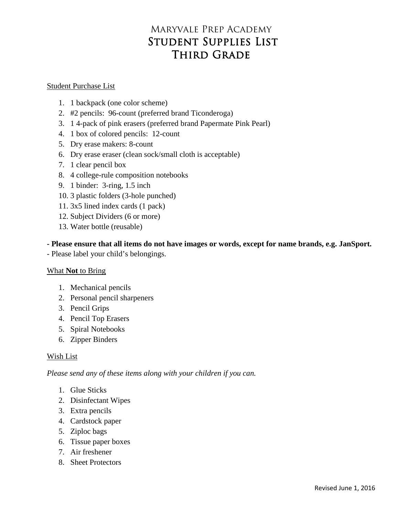# Maryvale Prep Academy Student Supplies List THIRD GRADE

### Student Purchase List

- 1. 1 backpack (one color scheme)
- 2. #2 pencils: 96-count (preferred brand Ticonderoga)
- 3. 1 4-pack of pink erasers (preferred brand Papermate Pink Pearl)
- 4. 1 box of colored pencils: 12-count
- 5. Dry erase makers: 8-count
- 6. Dry erase eraser (clean sock/small cloth is acceptable)
- 7. 1 clear pencil box
- 8. 4 college-rule composition notebooks
- 9. 1 binder: 3-ring, 1.5 inch
- 10. 3 plastic folders (3-hole punched)
- 11. 3x5 lined index cards (1 pack)
- 12. Subject Dividers (6 or more)
- 13. Water bottle (reusable)

**- Please ensure that all items do not have images or words, except for name brands, e.g. JanSport.**

- Please label your child's belongings.

## What **Not** to Bring

- 1. Mechanical pencils
- 2. Personal pencil sharpeners
- 3. Pencil Grips
- 4. Pencil Top Erasers
- 5. Spiral Notebooks
- 6. Zipper Binders

## Wish List

- 1. Glue Sticks
- 2. Disinfectant Wipes
- 3. Extra pencils
- 4. Cardstock paper
- 5. Ziploc bags
- 6. Tissue paper boxes
- 7. Air freshener
- 8. Sheet Protectors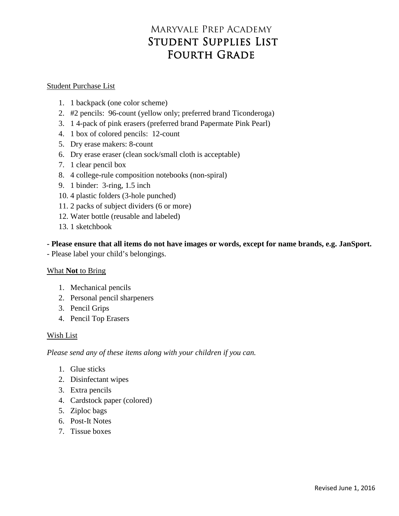# Maryvale Prep Academy Student Supplies List Fourth Grade

#### Student Purchase List

- 1. 1 backpack (one color scheme)
- 2. #2 pencils: 96-count (yellow only; preferred brand Ticonderoga)
- 3. 1 4-pack of pink erasers (preferred brand Papermate Pink Pearl)
- 4. 1 box of colored pencils: 12-count
- 5. Dry erase makers: 8-count
- 6. Dry erase eraser (clean sock/small cloth is acceptable)
- 7. 1 clear pencil box
- 8. 4 college-rule composition notebooks (non-spiral)
- 9. 1 binder: 3-ring, 1.5 inch
- 10. 4 plastic folders (3-hole punched)
- 11. 2 packs of subject dividers (6 or more)
- 12. Water bottle (reusable and labeled)
- 13. 1 sketchbook

**- Please ensure that all items do not have images or words, except for name brands, e.g. JanSport.**

- Please label your child's belongings.

## What **Not** to Bring

- 1. Mechanical pencils
- 2. Personal pencil sharpeners
- 3. Pencil Grips
- 4. Pencil Top Erasers

#### Wish List

- 1. Glue sticks
- 2. Disinfectant wipes
- 3. Extra pencils
- 4. Cardstock paper (colored)
- 5. Ziploc bags
- 6. Post-It Notes
- 7. Tissue boxes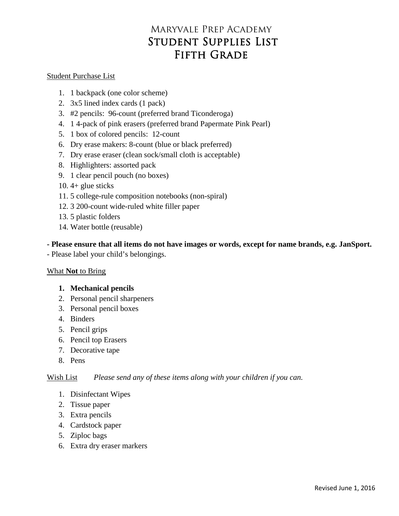# Maryvale Prep Academy Student Supplies List FIFTH GRADE

### Student Purchase List

- 1. 1 backpack (one color scheme)
- 2. 3x5 lined index cards (1 pack)
- 3. #2 pencils: 96-count (preferred brand Ticonderoga)
- 4. 1 4-pack of pink erasers (preferred brand Papermate Pink Pearl)
- 5. 1 box of colored pencils: 12-count
- 6. Dry erase makers: 8-count (blue or black preferred)
- 7. Dry erase eraser (clean sock/small cloth is acceptable)
- 8. Highlighters: assorted pack
- 9. 1 clear pencil pouch (no boxes)
- 10.  $4+$  glue sticks
- 11. 5 college-rule composition notebooks (non-spiral)
- 12. 3 200-count wide-ruled white filler paper
- 13. 5 plastic folders
- 14. Water bottle (reusable)

**- Please ensure that all items do not have images or words, except for name brands, e.g. JanSport.**

- Please label your child's belongings.

## What **Not** to Bring

- **1. Mechanical pencils**
- 2. Personal pencil sharpeners
- 3. Personal pencil boxes
- 4. Binders
- 5. Pencil grips
- 6. Pencil top Erasers
- 7. Decorative tape
- 8. Pens

- 1. Disinfectant Wipes
- 2. Tissue paper
- 3. Extra pencils
- 4. Cardstock paper
- 5. Ziploc bags
- 6. Extra dry eraser markers